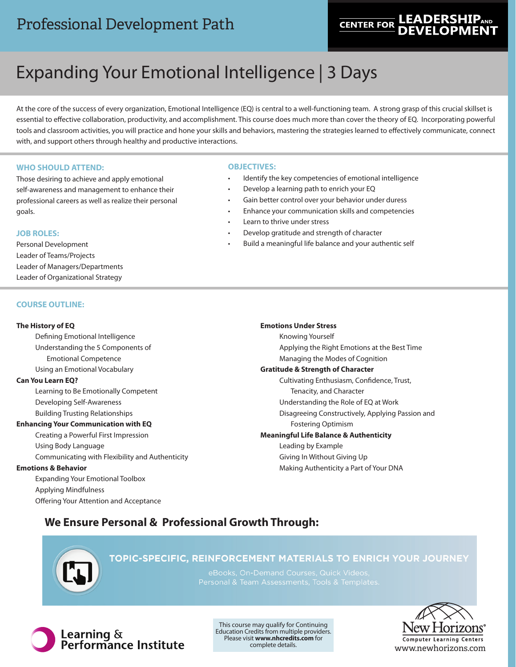# Professional Development Path

# **LEADERSH CENTER FOR**

# Expanding Your Emotional Intelligence | 3 Days

At the core of the success of every organization, Emotional Intelligence (EQ) is central to a well-functioning team. A strong grasp of this crucial skillset is essential to effective collaboration, productivity, and accomplishment. This course does much more than cover the theory of EQ. Incorporating powerful tools and classroom activities, you will practice and hone your skills and behaviors, mastering the strategies learned to effectively communicate, connect with, and support others through healthy and productive interactions.

## **WHO SHOULD ATTEND:**

Those desiring to achieve and apply emotional self-awareness and management to enhance their professional careers as well as realize their personal goals.

### **JOB ROLES:**

Personal Development Leader of Teams/Projects Leader of Managers/Departments Leader of Organizational Strategy

### **COURSE OUTLINE:**

### **The History of EQ**

Defining Emotional Intelligence Understanding the 5 Components of Emotional Competence Using an Emotional Vocabulary

### **Can You Learn EQ?**

Learning to Be Emotionally Competent Developing Self-Awareness Building Trusting Relationships

### **Enhancing Your Communication with EQ**

Creating a Powerful First Impression Using Body Language Communicating with Flexibility and Authenticity

# **Emotions & Behavior**

Expanding Your Emotional Toolbox Applying Mindfulness Offering Your Attention and Acceptance

## **OBJECTIVES:**

- Identify the key competencies of emotional intelligence
- Develop a learning path to enrich your EQ
- Gain better control over your behavior under duress
- Enhance your communication skills and competencies
- Learn to thrive under stress
- Develop gratitude and strength of character
- Build a meaningful life balance and your authentic self

### **Emotions Under Stress**

Knowing Yourself Applying the Right Emotions at the Best Time Managing the Modes of Cognition **Gratitude & Strength of Character** Cultivating Enthusiasm, Confidence, Trust, Tenacity, and Character Understanding the Role of EQ at Work Disagreeing Constructively, Applying Passion and Fostering Optimism **Meaningful Life Balance & Authenticity** Leading by Example Giving In Without Giving Up

Making Authenticity a Part of Your DNA

# **We Ensure Personal & Professional Growth Through:**



# TOPIC-SPECIFIC, REINFORCEMENT MATERIALS TO ENRICH YOUR JOURNEY



This course may qualify for Continuing Education Credits from multiple providers. Please visit **www.nhcredits.com** for